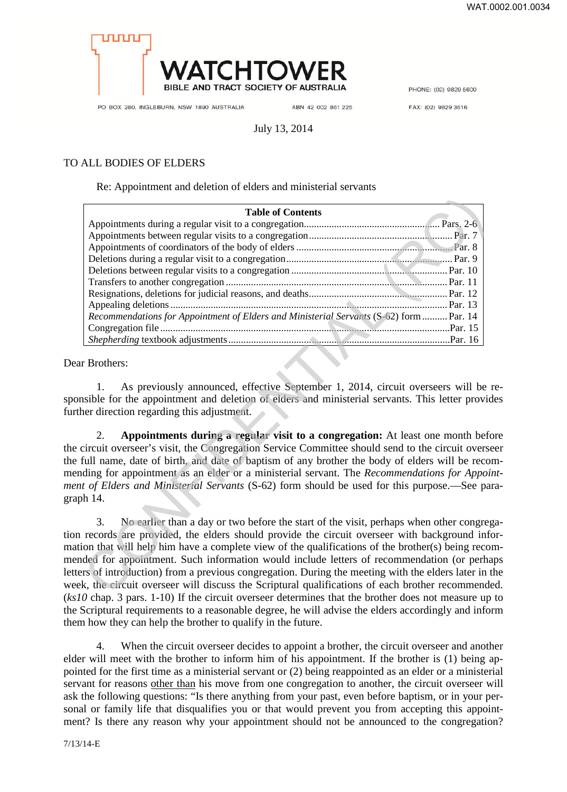

PHONE: (02) 9829 5600

PO BOX 280, INGLEBURN, NSW 1890 AUSTRALIA

ABN 42 002 861 225

FAX: (02) 9829 3616

## July 13, 2014

## TO ALL BODIES OF ELDERS

Re: Appointment and deletion of elders and ministerial servants

| <b>Table of Contents</b>                                                                                                                                                                                                                                                                                                                                                                                                                                                                                                                                                                                                                   |
|--------------------------------------------------------------------------------------------------------------------------------------------------------------------------------------------------------------------------------------------------------------------------------------------------------------------------------------------------------------------------------------------------------------------------------------------------------------------------------------------------------------------------------------------------------------------------------------------------------------------------------------------|
|                                                                                                                                                                                                                                                                                                                                                                                                                                                                                                                                                                                                                                            |
|                                                                                                                                                                                                                                                                                                                                                                                                                                                                                                                                                                                                                                            |
|                                                                                                                                                                                                                                                                                                                                                                                                                                                                                                                                                                                                                                            |
|                                                                                                                                                                                                                                                                                                                                                                                                                                                                                                                                                                                                                                            |
|                                                                                                                                                                                                                                                                                                                                                                                                                                                                                                                                                                                                                                            |
|                                                                                                                                                                                                                                                                                                                                                                                                                                                                                                                                                                                                                                            |
|                                                                                                                                                                                                                                                                                                                                                                                                                                                                                                                                                                                                                                            |
|                                                                                                                                                                                                                                                                                                                                                                                                                                                                                                                                                                                                                                            |
| Recommendations for Appointment of Elders and Ministerial Servants (S-62) form  Par. 14                                                                                                                                                                                                                                                                                                                                                                                                                                                                                                                                                    |
|                                                                                                                                                                                                                                                                                                                                                                                                                                                                                                                                                                                                                                            |
|                                                                                                                                                                                                                                                                                                                                                                                                                                                                                                                                                                                                                                            |
| r Brothers:<br>As previously announced, effective September 1, 2014, circuit overseers will be<br>1.<br>isible for the appointment and deletion of elders and ministerial servants. This letter proviously<br>ner direction regarding this adjustment.                                                                                                                                                                                                                                                                                                                                                                                     |
| Appointments during a regular visit to a congregation: At least one month before<br>2.<br>circuit overseer's visit, the Congregation Service Committee should send to the circuit overse<br>full name, date of birth, and date of baptism of any brother the body of elders will be reco<br>ding for appointment as an elder or a ministerial servant. The Recommendations for Appoi<br>t of Elders and Ministerial Servants (S-62) form should be used for this purpose.—See pa<br>h 14.                                                                                                                                                  |
| No earlier than a day or two before the start of the visit, perhaps when other congreg<br>3.<br>records are provided, the elders should provide the circuit overseer with background inf<br>on that will help him have a complete view of the qualifications of the brother(s) being reco<br>ded for appointment. Such information would include letters of recommendation (or perha<br>rs of introduction) from a previous congregation. During the meeting with the elders later in<br>k, the circuit overseer will discuss the Scriptural qualifications of each brother recommend<br>$0.1$ $0.1$ $1.10$ $10.1$ $1.1$ $1.1$ $1.1$ $1.1$ |

Dear Brothers:

1. As previously announced, effective September 1, 2014, circuit overseers will be responsible for the appointment and deletion of elders and ministerial servants. This letter provides further direction regarding this adjustment.

2. **Appointments during a regular visit to a congregation:** At least one month before the circuit overseer's visit, the Congregation Service Committee should send to the circuit overseer the full name, date of birth, and date of baptism of any brother the body of elders will be recommending for appointment as an elder or a ministerial servant. The *Recommendations for Appointment of Elders and Ministerial Servants* (S-62) form should be used for this purpose.—See paragraph 14.

3. No earlier than a day or two before the start of the visit, perhaps when other congregation records are provided, the elders should provide the circuit overseer with background information that will help him have a complete view of the qualifications of the brother(s) being recommended for appointment. Such information would include letters of recommendation (or perhaps letters of introduction) from a previous congregation. During the meeting with the elders later in the week, the circuit overseer will discuss the Scriptural qualifications of each brother recommended. (*ks10* chap. 3 pars. 1-10) If the circuit overseer determines that the brother does not measure up to the Scriptural requirements to a reasonable degree, he will advise the elders accordingly and inform them how they can help the brother to qualify in the future.

4. When the circuit overseer decides to appoint a brother, the circuit overseer and another elder will meet with the brother to inform him of his appointment. If the brother is (1) being appointed for the first time as a ministerial servant or (2) being reappointed as an elder or a ministerial servant for reasons other than his move from one congregation to another, the circuit overseer will ask the following questions: "Is there anything from your past, even before baptism, or in your personal or family life that disqualifies you or that would prevent you from accepting this appointment? Is there any reason why your appointment should not be announced to the congregation?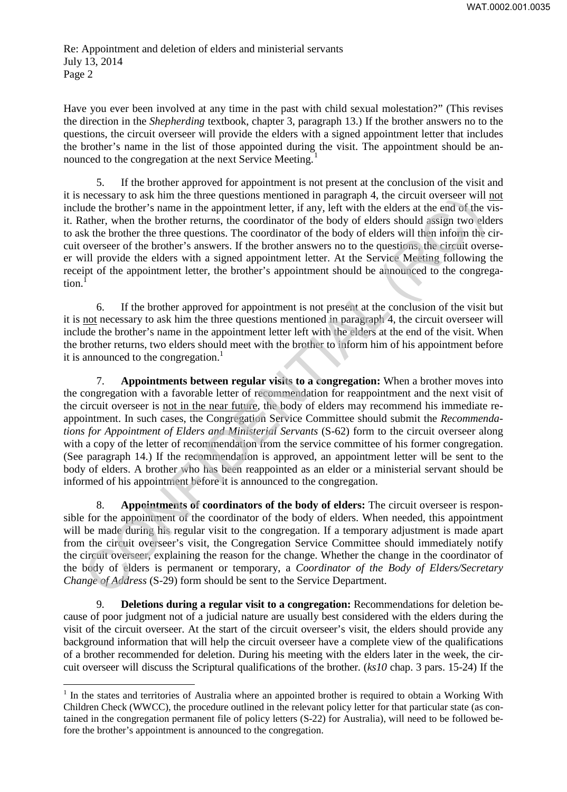Have you ever been involved at any time in the past with child sexual molestation?" (This revises the direction in the *Shepherding* textbook, chapter 3, paragraph 13.) If the brother answers no to the questions, the circuit overseer will provide the elders with a signed appointment letter that includes the brother's name in the list of those appointed during the visit. The appointment should be announced to the congregation at the next Service Meeting.<sup>1</sup>

5. If the brother approved for appointment is not present at the conclusion of the visit and it is necessary to ask him the three questions mentioned in paragraph 4, the circuit overseer will not include the brother's name in the appointment letter, if any, left with the elders at the end of the visit. Rather, when the brother returns, the coordinator of the body of elders should assign two elders to ask the brother the three questions. The coordinator of the body of elders will then inform the circuit overseer of the brother's answers. If the brother answers no to the questions, the circuit overseer will provide the elders with a signed appointment letter. At the Service Meeting following the receipt of the appointment letter, the brother's appointment should be announced to the congregation.

6. If the brother approved for appointment is not present at the conclusion of the visit but it is not necessary to ask him the three questions mentioned in paragraph 4, the circuit overseer will include the brother's name in the appointment letter left with the elders at the end of the visit. When the brother returns, two elders should meet with the brother to inform him of his appointment before it is announced to the congregation.<sup>1</sup>

7. **Appointments between regular visits to a congregation:** When a brother moves into the congregation with a favorable letter of recommendation for reappointment and the next visit of the circuit overseer is not in the near future, the body of elders may recommend his immediate reappointment. In such cases, the Congregation Service Committee should submit the *Recommendations for Appointment of Elders and Ministerial Servants* (S-62) form to the circuit overseer along with a copy of the letter of recommendation from the service committee of his former congregation. (See paragraph 14.) If the recommendation is approved, an appointment letter will be sent to the body of elders. A brother who has been reappointed as an elder or a ministerial servant should be informed of his appointment before it is announced to the congregation. meters way to ask limit the depeations the information parameteris and the between the energy of the state be brother's name in the appointment letter, if any, left with the elders at the end of the between ather, when the

8. **Appointments of coordinators of the body of elders:** The circuit overseer is responsible for the appointment of the coordinator of the body of elders. When needed, this appointment will be made during his regular visit to the congregation. If a temporary adjustment is made apart from the circuit overseer's visit, the Congregation Service Committee should immediately notify the circuit overseer, explaining the reason for the change. Whether the change in the coordinator of the body of elders is permanent or temporary, a *Coordinator of the Body of Elders/Secretary Change of Address* (S-29) form should be sent to the Service Department.

9. **Deletions during a regular visit to a congregation:** Recommendations for deletion because of poor judgment not of a judicial nature are usually best considered with the elders during the visit of the circuit overseer. At the start of the circuit overseer's visit, the elders should provide any background information that will help the circuit overseer have a complete view of the qualifications of a brother recommended for deletion. During his meeting with the elders later in the week, the circuit overseer will discuss the Scriptural qualifications of the brother. (*ks10* chap. 3 pars. 15-24) If the

 $\overline{a}$ 

<sup>&</sup>lt;sup>1</sup> In the states and territories of Australia where an appointed brother is required to obtain a Working With Children Check (WWCC), the procedure outlined in the relevant policy letter for that particular state (as contained in the congregation permanent file of policy letters (S-22) for Australia), will need to be followed before the brother's appointment is announced to the congregation.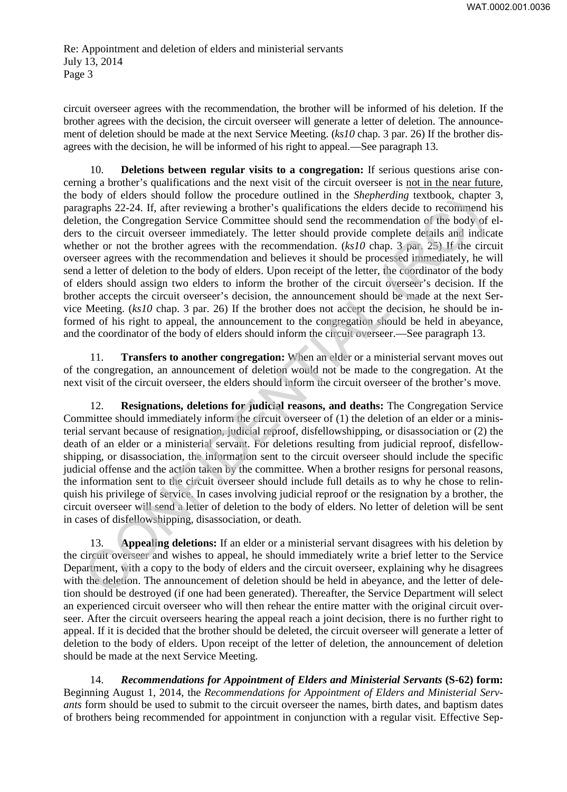circuit overseer agrees with the recommendation, the brother will be informed of his deletion. If the brother agrees with the decision, the circuit overseer will generate a letter of deletion. The announcement of deletion should be made at the next Service Meeting. (*ks10* chap. 3 par. 26) If the brother disagrees with the decision, he will be informed of his right to appeal.—See paragraph 13.

10. **Deletions between regular visits to a congregation:** If serious questions arise concerning a brother's qualifications and the next visit of the circuit overseer is not in the near future, the body of elders should follow the procedure outlined in the *Shepherding* textbook, chapter 3, paragraphs 22-24. If, after reviewing a brother's qualifications the elders decide to recommend his deletion, the Congregation Service Committee should send the recommendation of the body of elders to the circuit overseer immediately. The letter should provide complete details and indicate whether or not the brother agrees with the recommendation. (*ks10* chap. 3 par. 25) If the circuit overseer agrees with the recommendation and believes it should be processed immediately, he will send a letter of deletion to the body of elders. Upon receipt of the letter, the coordinator of the body of elders should assign two elders to inform the brother of the circuit overseer's decision. If the brother accepts the circuit overseer's decision, the announcement should be made at the next Service Meeting. (*ks10* chap. 3 par. 26) If the brother does not accept the decision, he should be informed of his right to appeal, the announcement to the congregation should be held in abeyance, and the coordinator of the body of elders should inform the circuit overseer.—See paragraph 13. oody or eleas solonia (move in peaceane outlined in the *subpretiang* textuons, curapper and the head of the body of electric orecommend of the body of electric orecommendation of the body of electric solonic to the circui

11. **Transfers to another congregation:** When an elder or a ministerial servant moves out of the congregation, an announcement of deletion would not be made to the congregation. At the next visit of the circuit overseer, the elders should inform the circuit overseer of the brother's move.

12. **Resignations, deletions for judicial reasons, and deaths:** The Congregation Service Committee should immediately inform the circuit overseer of (1) the deletion of an elder or a ministerial servant because of resignation, judicial reproof, disfellowshipping, or disassociation or (2) the death of an elder or a ministerial servant. For deletions resulting from judicial reproof, disfellowshipping, or disassociation, the information sent to the circuit overseer should include the specific judicial offense and the action taken by the committee. When a brother resigns for personal reasons, the information sent to the circuit overseer should include full details as to why he chose to relinquish his privilege of service. In cases involving judicial reproof or the resignation by a brother, the circuit overseer will send a letter of deletion to the body of elders. No letter of deletion will be sent in cases of disfellowshipping, disassociation, or death.

13. **Appealing deletions:** If an elder or a ministerial servant disagrees with his deletion by the circuit overseer and wishes to appeal, he should immediately write a brief letter to the Service Department, with a copy to the body of elders and the circuit overseer, explaining why he disagrees with the deletion. The announcement of deletion should be held in abeyance, and the letter of deletion should be destroyed (if one had been generated). Thereafter, the Service Department will select an experienced circuit overseer who will then rehear the entire matter with the original circuit overseer. After the circuit overseers hearing the appeal reach a joint decision, there is no further right to appeal. If it is decided that the brother should be deleted, the circuit overseer will generate a letter of deletion to the body of elders. Upon receipt of the letter of deletion, the announcement of deletion should be made at the next Service Meeting.

14. *Recommendations for Appointment of Elders and Ministerial Servants* **(S-62) form:** Beginning August 1, 2014, the *Recommendations for Appointment of Elders and Ministerial Servants* form should be used to submit to the circuit overseer the names, birth dates, and baptism dates of brothers being recommended for appointment in conjunction with a regular visit. Effective Sep-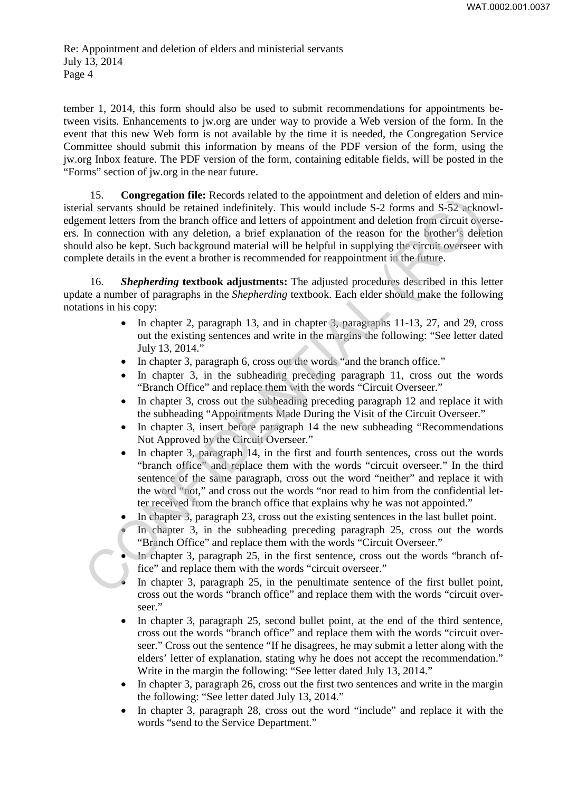tember 1, 2014, this form should also be used to submit recommendations for appointments between visits. Enhancements to jw.org are under way to provide a Web version of the form. In the event that this new Web form is not available by the time it is needed, the Congregation Service Committee should submit this information by means of the PDF version of the form, using the jw.org Inbox feature. The PDF version of the form, containing editable fields, will be posted in the "Forms" section of jw.org in the near future.

15. **Congregation file:** Records related to the appointment and deletion of elders and ministerial servants should be retained indefinitely. This would include S-2 forms and S-52 acknowledgement letters from the branch office and letters of appointment and deletion from circuit overseers. In connection with any deletion, a brief explanation of the reason for the brother's deletion should also be kept. Such background material will be helpful in supplying the circuit overseer with complete details in the event a brother is recommended for reappointment in the future. 13. Compression time recotors reanate to the applometime and user<br>out the method between the theorem and the context and the restrict of<br>the restrict of the restrict of the restrict of the restrict of the restrict of<br>the

16. *Shepherding* **textbook adjustments:** The adjusted procedures described in this letter update a number of paragraphs in the *Shepherding* textbook. Each elder should make the following notations in his copy:

- In chapter 2, paragraph 13, and in chapter 3, paragraphs 11-13, 27, and 29, cross out the existing sentences and write in the margins the following: "See letter dated July 13, 2014."
- In chapter 3, paragraph 6, cross out the words "and the branch office."
- In chapter 3, in the subheading preceding paragraph 11, cross out the words "Branch Office" and replace them with the words "Circuit Overseer."
- In chapter 3, cross out the subheading preceding paragraph 12 and replace it with the subheading "Appointments Made During the Visit of the Circuit Overseer."
- In chapter 3, insert before paragraph 14 the new subheading "Recommendations" Not Approved by the Circuit Overseer."
- In chapter 3, paragraph 14, in the first and fourth sentences, cross out the words "branch office" and replace them with the words "circuit overseer." In the third sentence of the same paragraph, cross out the word "neither" and replace it with the word "not," and cross out the words "nor read to him from the confidential letter received from the branch office that explains why he was not appointed."
- In chapter 3, paragraph 23, cross out the existing sentences in the last bullet point.
- In chapter 3, in the subheading preceding paragraph 25, cross out the words "Branch Office" and replace them with the words "Circuit Overseer."
- In chapter 3, paragraph 25, in the first sentence, cross out the words "branch office" and replace them with the words "circuit overseer."
- In chapter 3, paragraph 25, in the penultimate sentence of the first bullet point, cross out the words "branch office" and replace them with the words "circuit overseer."
- In chapter 3, paragraph 25, second bullet point, at the end of the third sentence, cross out the words "branch office" and replace them with the words "circuit overseer." Cross out the sentence "If he disagrees, he may submit a letter along with the elders' letter of explanation, stating why he does not accept the recommendation." Write in the margin the following: "See letter dated July 13, 2014."
- In chapter 3, paragraph 26, cross out the first two sentences and write in the margin the following: "See letter dated July 13, 2014."
- In chapter 3, paragraph 28, cross out the word "include" and replace it with the words "send to the Service Department."